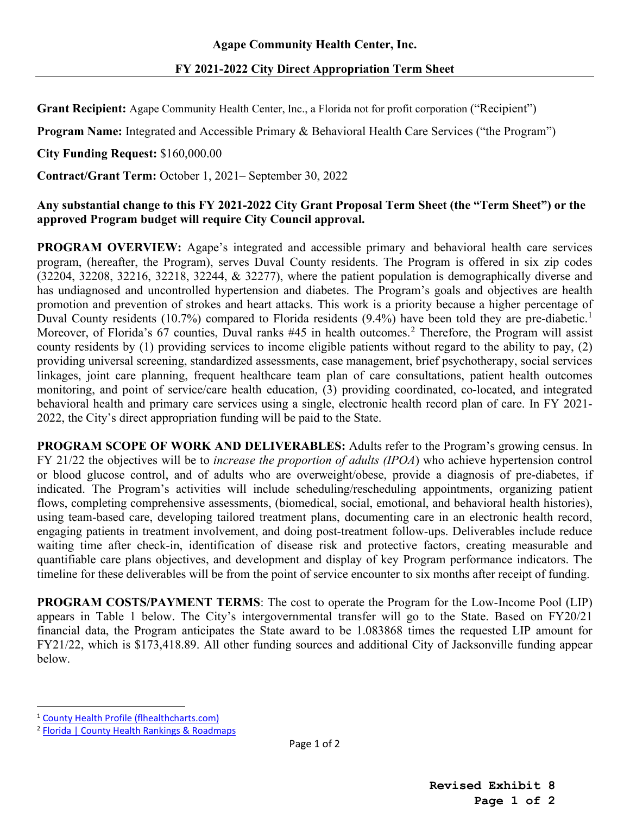**Grant Recipient:** Agape Community Health Center, Inc., a Florida not for profit corporation ("Recipient")

**Program Name:** Integrated and Accessible Primary & Behavioral Health Care Services ("the Program")

**City Funding Request:** \$160,000.00

**Contract/Grant Term:** October 1, 2021– September 30, 2022

## **Any substantial change to this FY 2021-2022 City Grant Proposal Term Sheet (the "Term Sheet") or the approved Program budget will require City Council approval.**

**PROGRAM OVERVIEW:** Agape's integrated and accessible primary and behavioral health care services program, (hereafter, the Program), serves Duval County residents. The Program is offered in six zip codes (32204, 32208, 32216, 32218, 32244, & 32277), where the patient population is demographically diverse and has undiagnosed and uncontrolled hypertension and diabetes. The Program's goals and objectives are health promotion and prevention of strokes and heart attacks. This work is a priority because a higher percentage of Duval County residents ([1](#page-0-0)0.7%) compared to Florida residents (9.4%) have been told they are pre-diabetic.<sup>1</sup> Moreover, of Florida's 67 counties, Duval ranks #45 in health outcomes.<sup>[2](#page-0-1)</sup> Therefore, the Program will assist county residents by (1) providing services to income eligible patients without regard to the ability to pay, (2) providing universal screening, standardized assessments, case management, brief psychotherapy, social services linkages, joint care planning, frequent healthcare team plan of care consultations, patient health outcomes monitoring, and point of service/care health education, (3) providing coordinated, co-located, and integrated behavioral health and primary care services using a single, electronic health record plan of care. In FY 2021- 2022, the City's direct appropriation funding will be paid to the State.

**PROGRAM SCOPE OF WORK AND DELIVERABLES:** Adults refer to the Program's growing census. In FY 21/22 the objectives will be to *increase the proportion of adults (IPOA*) who achieve hypertension control or blood glucose control, and of adults who are overweight/obese, provide a diagnosis of pre-diabetes, if indicated. The Program's activities will include scheduling/rescheduling appointments, organizing patient flows, completing comprehensive assessments, (biomedical, social, emotional, and behavioral health histories), using team-based care, developing tailored treatment plans, documenting care in an electronic health record, engaging patients in treatment involvement, and doing post-treatment follow-ups. Deliverables include reduce waiting time after check-in, identification of disease risk and protective factors, creating measurable and quantifiable care plans objectives, and development and display of key Program performance indicators. The timeline for these deliverables will be from the point of service encounter to six months after receipt of funding.

**PROGRAM COSTS/PAYMENT TERMS**: The cost to operate the Program for the Low-Income Pool (LIP) appears in Table 1 below. The City's intergovernmental transfer will go to the State. Based on FY20/21 financial data, the Program anticipates the State award to be 1.083868 times the requested LIP amount for FY21/22, which is \$173,418.89. All other funding sources and additional City of Jacksonville funding appear below.

<span id="page-0-0"></span><sup>1</sup> [County Health Profile \(flhealthcharts.com\)](http://www.flhealthcharts.com/ChartsReports/rdPage.aspx?rdReport=ChartsProfiles.CountyHealthProfile)

<span id="page-0-1"></span><sup>2</sup> [Florida | County Health Rankings & Roadmaps](https://www.countyhealthrankings.org/app/florida/2020/overview)